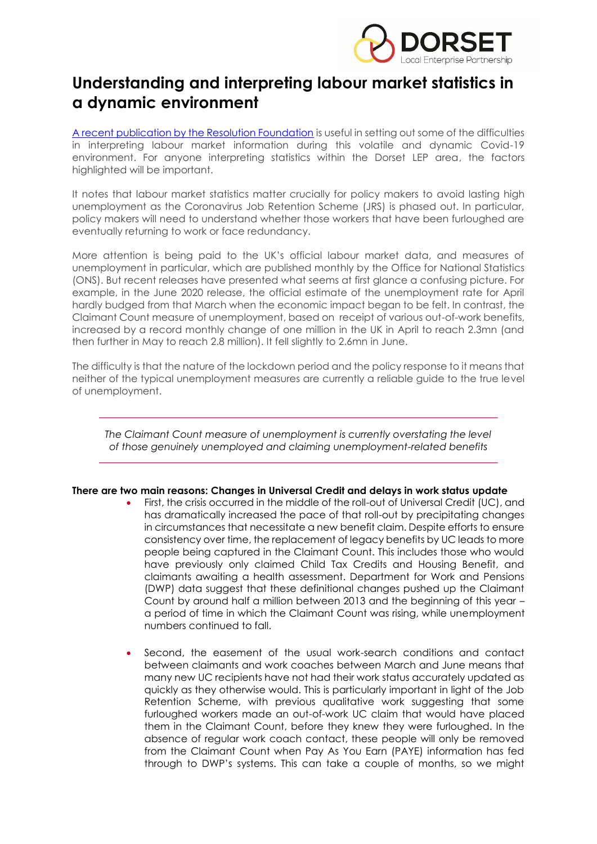

## **Understanding and interpreting labour market statistics in a dynamic environment**

[A recent publication by the Resolution Foundation](https://www.resolutionfoundation.org/app/uploads/2020/07/The-truth-will-out.pdf) is useful in setting out some of the difficulties in interpreting labour market information during this volatile and dynamic Covid-19 environment. For anyone interpreting statistics within the Dorset LEP area, the factors highlighted will be important.

It notes that labour market statistics matter crucially for policy makers to avoid lasting high unemployment as the Coronavirus Job Retention Scheme (JRS) is phased out. In particular, policy makers will need to understand whether those workers that have been furloughed are eventually returning to work or face redundancy.

More attention is being paid to the UK's official labour market data, and measures of unemployment in particular, which are published monthly by the Office for National Statistics (ONS). But recent releases have presented what seems at first glance a confusing picture. For example, in the June 2020 release, the official estimate of the unemployment rate for April hardly budged from that March when the economic impact began to be felt. In contrast, the Claimant Count measure of unemployment, based on receipt of various out-of-work benefits, increased by a record monthly change of one million in the UK in April to reach 2.3mn (and then further in May to reach 2.8 million). It fell slightly to 2.6mn in June.

The difficulty is that the nature of the lockdown period and the policy response to it means that neither of the typical unemployment measures are currently a reliable guide to the true level of unemployment.

The Claimant Count measure of unemployment is currently overstating the level *of those genuinely unemployed and claiming unemployment-related benefits*

## **There are two main reasons: Changes in Universal Credit and delays in work status update**

- First, the crisis occurred in the middle of the roll-out of Universal Credit (UC), and has dramatically increased the pace of that roll-out by precipitating changes in circumstances that necessitate a new benefit claim. Despite efforts to ensure consistency over time, the replacement of legacy benefits by UC leads to more people being captured in the Claimant Count. This includes those who would have previously only claimed Child Tax Credits and Housing Benefit, and claimants awaiting a health assessment. Department for Work and Pensions (DWP) data suggest that these definitional changes pushed up the Claimant Count by around half a million between 2013 and the beginning of this year – a period of time in which the Claimant Count was rising, while unemployment numbers continued to fall.
- Second, the easement of the usual work-search conditions and contact between claimants and work coaches between March and June means that many new UC recipients have not had their work status accurately updated as quickly as they otherwise would. This is particularly important in light of the Job Retention Scheme, with previous qualitative work suggesting that some furloughed workers made an out-of-work UC claim that would have placed them in the Claimant Count, before they knew they were furloughed. In the absence of regular work coach contact, these people will only be removed from the Claimant Count when Pay As You Earn (PAYE) information has fed through to DWP's systems. This can take a couple of months, so we might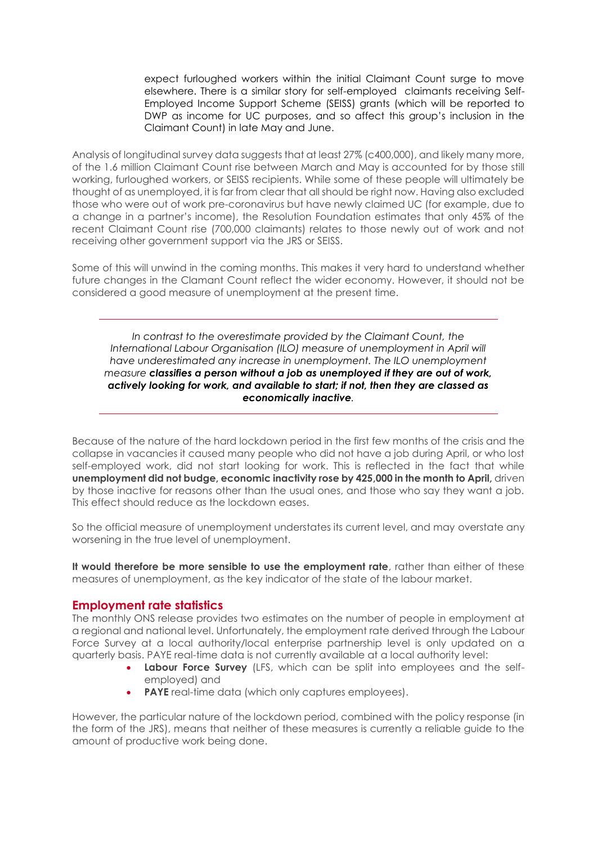expect furloughed workers within the initial Claimant Count surge to move elsewhere. There is a similar story for self-employed claimants receiving Self-Employed Income Support Scheme (SEISS) grants (which will be reported to DWP as income for UC purposes, and so affect this group's inclusion in the Claimant Count) in late May and June.

Analysis of longitudinal survey data suggests that at least 27% (c400,000), and likely many more, of the 1.6 million Claimant Count rise between March and May is accounted for by those still working, furloughed workers, or SEISS recipients. While some of these people will ultimately be thought of as unemployed, it is far from clear that all should be right now. Having also excluded those who were out of work pre-coronavirus but have newly claimed UC (for example, due to a change in a partner's income), the Resolution Foundation estimates that only 45% of the recent Claimant Count rise (700,000 claimants) relates to those newly out of work and not receiving other government support via the JRS or SEISS.

Some of this will unwind in the coming months. This makes it very hard to understand whether future changes in the Clamant Count reflect the wider economy. However, it should not be considered a good measure of unemployment at the present time.

*In contrast to the overestimate provided by the Claimant Count, the International Labour Organisation (ILO) measure of unemployment in April will have underestimated any increase in unemployment. The ILO unemployment measure classifies a person without a job as unemployed if they are out of work, actively looking for work, and available to start; if not, then they are classed as economically inactive.* 

Because of the nature of the hard lockdown period in the first few months of the crisis and the collapse in vacancies it caused many people who did not have a job during April, or who lost self-employed work, did not start looking for work. This is reflected in the fact that while **unemployment did not budge, economic inactivity rose by 425,000 in the month to April,** driven by those inactive for reasons other than the usual ones, and those who say they want a job. This effect should reduce as the lockdown eases.

So the official measure of unemployment understates its current level, and may overstate any worsening in the true level of unemployment.

**It would therefore be more sensible to use the employment rate**, rather than either of these measures of unemployment, as the key indicator of the state of the labour market.

## **Employment rate statistics**

The monthly ONS release provides two estimates on the number of people in employment at a regional and national level. Unfortunately, the employment rate derived through the Labour Force Survey at a local authority/local enterprise partnership level is only updated on a quarterly basis. PAYE real-time data is not currently available at a local authority level:

- **Labour Force Survey** (LFS, which can be split into employees and the selfemployed) and
- **PAYE** real-time data (which only captures employees).

However, the particular nature of the lockdown period, combined with the policy response (in the form of the JRS), means that neither of these measures is currently a reliable guide to the amount of productive work being done.